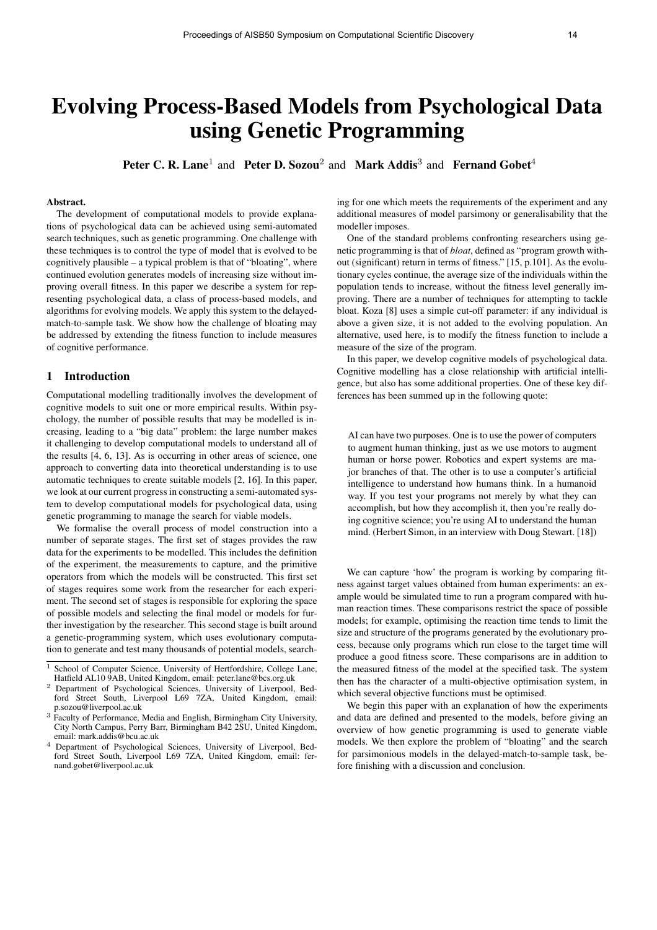# Evolving Process-Based Models from Psychological Data using Genetic Programming

Peter C. R. Lane<sup>1</sup> and Peter D. Sozou<sup>2</sup> and Mark Addis<sup>3</sup> and Fernand Gobet<sup>4</sup>

## Abstract.

The development of computational models to provide explanations of psychological data can be achieved using semi-automated search techniques, such as genetic programming. One challenge with these techniques is to control the type of model that is evolved to be cognitively plausible – a typical problem is that of "bloating", where continued evolution generates models of increasing size without improving overall fitness. In this paper we describe a system for representing psychological data, a class of process-based models, and algorithms for evolving models. We apply this system to the delayedmatch-to-sample task. We show how the challenge of bloating may be addressed by extending the fitness function to include measures of cognitive performance.

## 1 Introduction

Computational modelling traditionally involves the development of cognitive models to suit one or more empirical results. Within psychology, the number of possible results that may be modelled is increasing, leading to a "big data" problem: the large number makes it challenging to develop computational models to understand all of the results [4, 6, 13]. As is occurring in other areas of science, one approach to converting data into theoretical understanding is to use automatic techniques to create suitable models [2, 16]. In this paper, we look at our current progress in constructing a semi-automated system to develop computational models for psychological data, using genetic programming to manage the search for viable models.

We formalise the overall process of model construction into a number of separate stages. The first set of stages provides the raw data for the experiments to be modelled. This includes the definition of the experiment, the measurements to capture, and the primitive operators from which the models will be constructed. This first set of stages requires some work from the researcher for each experiment. The second set of stages is responsible for exploring the space of possible models and selecting the final model or models for further investigation by the researcher. This second stage is built around a genetic-programming system, which uses evolutionary computation to generate and test many thousands of potential models, searching for one which meets the requirements of the experiment and any additional measures of model parsimony or generalisability that the modeller imposes.

One of the standard problems confronting researchers using genetic programming is that of *bloat*, defined as "program growth without (significant) return in terms of fitness." [15, p.101]. As the evolutionary cycles continue, the average size of the individuals within the population tends to increase, without the fitness level generally improving. There are a number of techniques for attempting to tackle bloat. Koza [8] uses a simple cut-off parameter: if any individual is above a given size, it is not added to the evolving population. An alternative, used here, is to modify the fitness function to include a measure of the size of the program.

In this paper, we develop cognitive models of psychological data. Cognitive modelling has a close relationship with artificial intelligence, but also has some additional properties. One of these key differences has been summed up in the following quote:

AI can have two purposes. One is to use the power of computers to augment human thinking, just as we use motors to augment human or horse power. Robotics and expert systems are major branches of that. The other is to use a computer's artificial intelligence to understand how humans think. In a humanoid way. If you test your programs not merely by what they can accomplish, but how they accomplish it, then you're really doing cognitive science; you're using AI to understand the human mind. (Herbert Simon, in an interview with Doug Stewart. [18])

We can capture 'how' the program is working by comparing fitness against target values obtained from human experiments: an example would be simulated time to run a program compared with human reaction times. These comparisons restrict the space of possible models; for example, optimising the reaction time tends to limit the size and structure of the programs generated by the evolutionary process, because only programs which run close to the target time will produce a good fitness score. These comparisons are in addition to the measured fitness of the model at the specified task. The system then has the character of a multi-objective optimisation system, in which several objective functions must be optimised.

We begin this paper with an explanation of how the experiments and data are defined and presented to the models, before giving an overview of how genetic programming is used to generate viable models. We then explore the problem of "bloating" and the search for parsimonious models in the delayed-match-to-sample task, before finishing with a discussion and conclusion.

School of Computer Science, University of Hertfordshire, College Lane, Hatfield AL10 9AB, United Kingdom, email: peter.lane@bcs.org.uk

<sup>2</sup> Department of Psychological Sciences, University of Liverpool, Bedford Street South, Liverpool L69 7ZA, United Kingdom, email: p.sozou@liverpool.ac.uk

<sup>&</sup>lt;sup>3</sup> Faculty of Performance, Media and English, Birmingham City University, City North Campus, Perry Barr, Birmingham B42 2SU, United Kingdom, email: mark.addis@bcu.ac.uk

<sup>4</sup> Department of Psychological Sciences, University of Liverpool, Bedford Street South, Liverpool L69 7ZA, United Kingdom, email: fernand.gobet@liverpool.ac.uk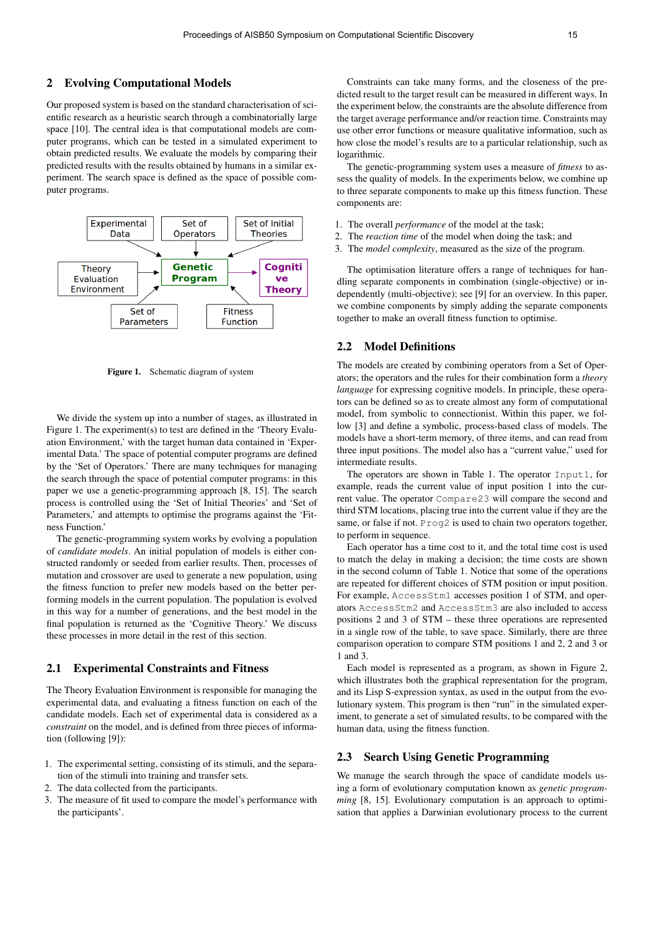Our proposed system is based on the standard characterisation of scientific research as a heuristic search through a combinatorially large space [10]. The central idea is that computational models are computer programs, which can be tested in a simulated experiment to obtain predicted results. We evaluate the models by comparing their predicted results with the results obtained by humans in a similar experiment. The search space is defined as the space of possible computer programs.



Figure 1. Schematic diagram of system

We divide the system up into a number of stages, as illustrated in Figure 1. The experiment(s) to test are defined in the 'Theory Evaluation Environment,' with the target human data contained in 'Experimental Data.' The space of potential computer programs are defined by the 'Set of Operators.' There are many techniques for managing the search through the space of potential computer programs: in this paper we use a genetic-programming approach [8, 15]. The search process is controlled using the 'Set of Initial Theories' and 'Set of Parameters,' and attempts to optimise the programs against the 'Fitness Function.'

The genetic-programming system works by evolving a population of *candidate models*. An initial population of models is either constructed randomly or seeded from earlier results. Then, processes of mutation and crossover are used to generate a new population, using the fitness function to prefer new models based on the better performing models in the current population. The population is evolved in this way for a number of generations, and the best model in the final population is returned as the 'Cognitive Theory.' We discuss these processes in more detail in the rest of this section.

## 2.1 Experimental Constraints and Fitness

The Theory Evaluation Environment is responsible for managing the experimental data, and evaluating a fitness function on each of the candidate models. Each set of experimental data is considered as a *constraint* on the model, and is defined from three pieces of information (following [9]):

- 1. The experimental setting, consisting of its stimuli, and the separation of the stimuli into training and transfer sets.
- 2. The data collected from the participants.
- 3. The measure of fit used to compare the model's performance with the participants'.

Constraints can take many forms, and the closeness of the predicted result to the target result can be measured in different ways. In the experiment below, the constraints are the absolute difference from the target average performance and/or reaction time. Constraints may use other error functions or measure qualitative information, such as how close the model's results are to a particular relationship, such as logarithmic.

The genetic-programming system uses a measure of *fitness* to assess the quality of models. In the experiments below, we combine up to three separate components to make up this fitness function. These components are:

- 1. The overall *performance* of the model at the task;
- 2. The *reaction time* of the model when doing the task; and
- 3. The *model complexity*, measured as the size of the program.

The optimisation literature offers a range of techniques for handling separate components in combination (single-objective) or independently (multi-objective); see [9] for an overview. In this paper, we combine components by simply adding the separate components together to make an overall fitness function to optimise.

#### 2.2 Model Definitions

The models are created by combining operators from a Set of Operators; the operators and the rules for their combination form a *theory language* for expressing cognitive models. In principle, these operators can be defined so as to create almost any form of computational model, from symbolic to connectionist. Within this paper, we follow [3] and define a symbolic, process-based class of models. The models have a short-term memory, of three items, and can read from three input positions. The model also has a "current value," used for intermediate results.

The operators are shown in Table 1. The operator Input1, for example, reads the current value of input position 1 into the current value. The operator Compare23 will compare the second and third STM locations, placing true into the current value if they are the same, or false if not. Prog2 is used to chain two operators together, to perform in sequence.

Each operator has a time cost to it, and the total time cost is used to match the delay in making a decision; the time costs are shown in the second column of Table 1. Notice that some of the operations are repeated for different choices of STM position or input position. For example, AccessStm1 accesses position 1 of STM, and operators AccessStm2 and AccessStm3 are also included to access positions 2 and 3 of STM – these three operations are represented in a single row of the table, to save space. Similarly, there are three comparison operation to compare STM positions 1 and 2, 2 and 3 or 1 and 3.

Each model is represented as a program, as shown in Figure 2, which illustrates both the graphical representation for the program, and its Lisp S-expression syntax, as used in the output from the evolutionary system. This program is then "run" in the simulated experiment, to generate a set of simulated results, to be compared with the human data, using the fitness function.

# 2.3 Search Using Genetic Programming

We manage the search through the space of candidate models using a form of evolutionary computation known as *genetic programming* [8, 15]. Evolutionary computation is an approach to optimisation that applies a Darwinian evolutionary process to the current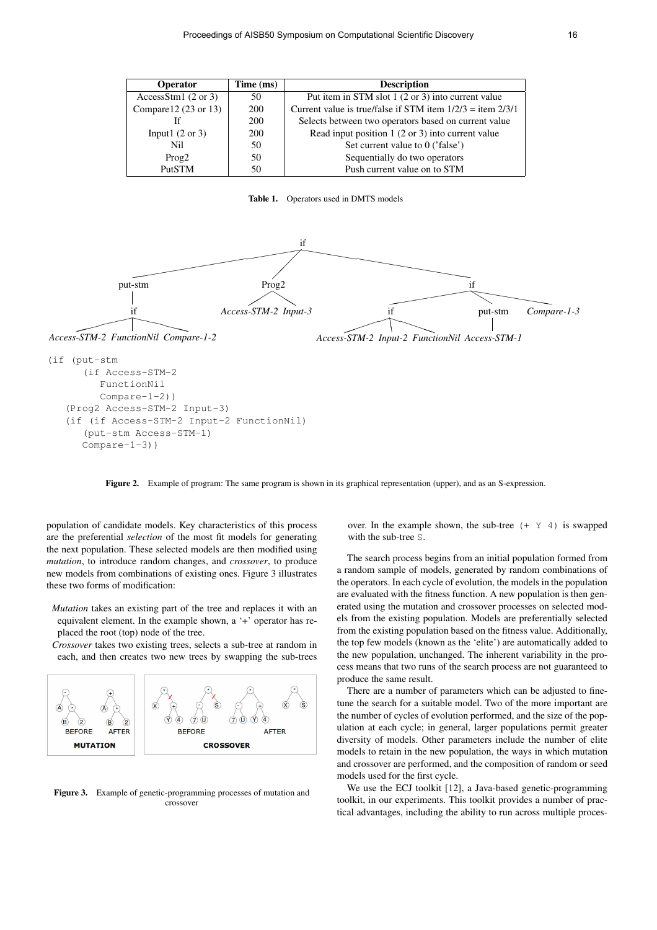| <b>Operator</b>                 | Time (ms) | <b>Description</b>                                             |  |  |
|---------------------------------|-----------|----------------------------------------------------------------|--|--|
| AccessStm1 $(2 \text{ or } 3)$  | 50        | Put item in STM slot 1 (2 or 3) into current value             |  |  |
| Compare $12(23 \text{ or } 13)$ | 200       | Current value is true/false if STM item $1/2/3 =$ item $2/3/1$ |  |  |
|                                 | 200       | Selects between two operators based on current value           |  |  |
| Input $(2 \text{ or } 3)$       | 200       | Read input position 1 (2 or 3) into current value              |  |  |
| Nil                             | 50        | Set current value to 0 ('false')                               |  |  |
| Prog2                           | 50        | Sequentially do two operators                                  |  |  |
| PutSTM                          | 50        | Push current value on to STM                                   |  |  |

Table 1. Operators used in DMTS models



```
(if Access-STM-2
     FunctionNil
      Compare-1-2))
(Prog2 Access-STM-2 Input-3)
(if (if Access-STM-2 Input-2 FunctionNil)
   (put-stm Access-STM-1)
  Compare-1-3))
```
Figure 2. Example of program: The same program is shown in its graphical representation (upper), and as an S-expression.

population of candidate models. Key characteristics of this process are the preferential *selection* of the most fit models for generating the next population. These selected models are then modified using *mutation*, to introduce random changes, and *crossover*, to produce new models from combinations of existing ones. Figure 3 illustrates these two forms of modification:

- *Mutation* takes an existing part of the tree and replaces it with an equivalent element. In the example shown, a '+' operator has replaced the root (top) node of the tree.
- *Crossover* takes two existing trees, selects a sub-tree at random in each, and then creates two new trees by swapping the sub-trees



Figure 3. Example of genetic-programming processes of mutation and crossover

over. In the example shown, the sub-tree  $(+ \ Y \ 4)$  is swapped with the sub-tree S.

The search process begins from an initial population formed from a random sample of models, generated by random combinations of the operators. In each cycle of evolution, the models in the population are evaluated with the fitness function. A new population is then generated using the mutation and crossover processes on selected models from the existing population. Models are preferentially selected from the existing population based on the fitness value. Additionally, the top few models (known as the 'elite') are automatically added to the new population, unchanged. The inherent variability in the process means that two runs of the search process are not guaranteed to produce the same result.

There are a number of parameters which can be adjusted to finetune the search for a suitable model. Two of the more important are the number of cycles of evolution performed, and the size of the population at each cycle; in general, larger populations permit greater diversity of models. Other parameters include the number of elite models to retain in the new population, the ways in which mutation and crossover are performed, and the composition of random or seed models used for the first cycle.

We use the ECJ toolkit [12], a Java-based genetic-programming toolkit, in our experiments. This toolkit provides a number of practical advantages, including the ability to run across multiple proces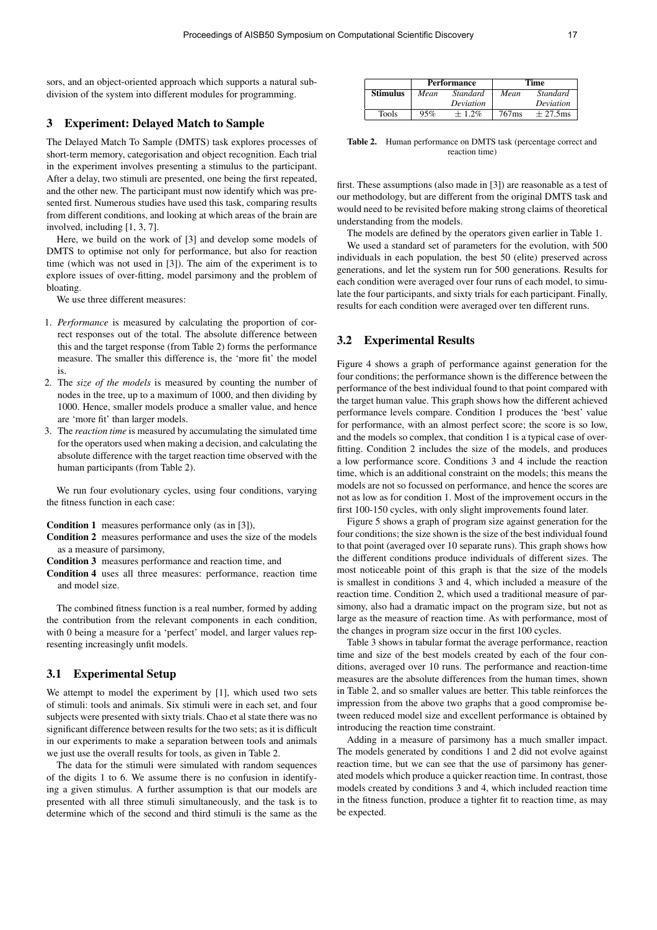sors, and an object-oriented approach which supports a natural subdivision of the system into different modules for programming.

#### 3 Experiment: Delayed Match to Sample

The Delayed Match To Sample (DMTS) task explores processes of short-term memory, categorisation and object recognition. Each trial in the experiment involves presenting a stimulus to the participant. After a delay, two stimuli are presented, one being the first repeated, and the other new. The participant must now identify which was presented first. Numerous studies have used this task, comparing results from different conditions, and looking at which areas of the brain are involved, including [1, 3, 7].

Here, we build on the work of [3] and develop some models of DMTS to optimise not only for performance, but also for reaction time (which was not used in [3]). The aim of the experiment is to explore issues of over-fitting, model parsimony and the problem of bloating.

We use three different measures:

- 1. *Performance* is measured by calculating the proportion of correct responses out of the total. The absolute difference between this and the target response (from Table 2) forms the performance measure. The smaller this difference is, the 'more fit' the model is.
- 2. The *size of the models* is measured by counting the number of nodes in the tree, up to a maximum of 1000, and then dividing by 1000. Hence, smaller models produce a smaller value, and hence are 'more fit' than larger models.
- 3. The *reaction time* is measured by accumulating the simulated time for the operators used when making a decision, and calculating the absolute difference with the target reaction time observed with the human participants (from Table 2).

We run four evolutionary cycles, using four conditions, varying the fitness function in each case:

Condition 1 measures performance only (as in [3]),

Condition 2 measures performance and uses the size of the models as a measure of parsimony,

Condition 3 measures performance and reaction time, and

Condition 4 uses all three measures: performance, reaction time and model size.

The combined fitness function is a real number, formed by adding the contribution from the relevant components in each condition, with 0 being a measure for a 'perfect' model, and larger values representing increasingly unfit models.

## 3.1 Experimental Setup

We attempt to model the experiment by [1], which used two sets of stimuli: tools and animals. Six stimuli were in each set, and four subjects were presented with sixty trials. Chao et al state there was no significant difference between results for the two sets; as it is difficult in our experiments to make a separation between tools and animals we just use the overall results for tools, as given in Table 2.

The data for the stimuli were simulated with random sequences of the digits 1 to 6. We assume there is no confusion in identifying a given stimulus. A further assumption is that our models are presented with all three stimuli simultaneously, and the task is to determine which of the second and third stimuli is the same as the

|                 | <b>Performance</b> |           | Time              |            |
|-----------------|--------------------|-----------|-------------------|------------|
| <b>Stimulus</b> | Mean               | Standard  | Mean              | Standard   |
|                 |                    | Deviation |                   | Deviation  |
| <b>Tools</b>    | 95%                | $+1.2\%$  | 767 <sub>ms</sub> | $+27.5$ ms |

Table 2. Human performance on DMTS task (percentage correct and reaction time)

first. These assumptions (also made in [3]) are reasonable as a test of our methodology, but are different from the original DMTS task and would need to be revisited before making strong claims of theoretical understanding from the models.

The models are defined by the operators given earlier in Table 1.

We used a standard set of parameters for the evolution, with 500 individuals in each population, the best 50 (elite) preserved across generations, and let the system run for 500 generations. Results for each condition were averaged over four runs of each model, to simulate the four participants, and sixty trials for each participant. Finally, results for each condition were averaged over ten different runs.

## 3.2 Experimental Results

Figure 4 shows a graph of performance against generation for the four conditions; the performance shown is the difference between the performance of the best individual found to that point compared with the target human value. This graph shows how the different achieved performance levels compare. Condition 1 produces the 'best' value for performance, with an almost perfect score; the score is so low, and the models so complex, that condition 1 is a typical case of overfitting. Condition 2 includes the size of the models, and produces a low performance score. Conditions 3 and 4 include the reaction time, which is an additional constraint on the models; this means the models are not so focussed on performance, and hence the scores are not as low as for condition 1. Most of the improvement occurs in the first 100-150 cycles, with only slight improvements found later.

Figure 5 shows a graph of program size against generation for the four conditions; the size shown is the size of the best individual found to that point (averaged over 10 separate runs). This graph shows how the different conditions produce individuals of different sizes. The most noticeable point of this graph is that the size of the models is smallest in conditions 3 and 4, which included a measure of the reaction time. Condition 2, which used a traditional measure of parsimony, also had a dramatic impact on the program size, but not as large as the measure of reaction time. As with performance, most of the changes in program size occur in the first 100 cycles.

Table 3 shows in tabular format the average performance, reaction time and size of the best models created by each of the four conditions, averaged over 10 runs. The performance and reaction-time measures are the absolute differences from the human times, shown in Table 2, and so smaller values are better. This table reinforces the impression from the above two graphs that a good compromise between reduced model size and excellent performance is obtained by introducing the reaction time constraint.

Adding in a measure of parsimony has a much smaller impact. The models generated by conditions 1 and 2 did not evolve against reaction time, but we can see that the use of parsimony has generated models which produce a quicker reaction time. In contrast, those models created by conditions 3 and 4, which included reaction time in the fitness function, produce a tighter fit to reaction time, as may be expected.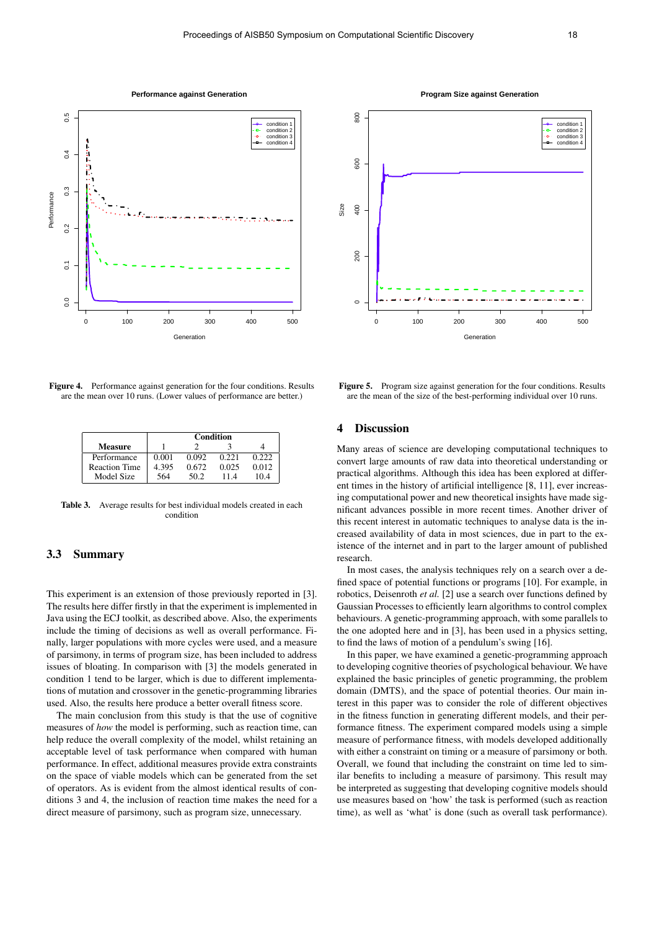

 $500$  $200$   $200$   $200$   $200$ condition 1 condition 2 condition 3 condition 4 600 Size 400 200  $\overline{a}$ 0 100 200 300 400 500 **Generation** 

**Program Size against Generation**

Figure 4. Performance against generation for the four conditions. Results are the mean over 10 runs. (Lower values of performance are better.)

|                      | <b>Condition</b> |       |       |       |  |
|----------------------|------------------|-------|-------|-------|--|
| <b>Measure</b>       |                  |       |       |       |  |
| Performance          | 0.001            | 0.092 | 0.221 | 0.222 |  |
| <b>Reaction Time</b> | 4.395            | 0.672 | 0.025 | 0.012 |  |
| Model Size           | 564              | 50 2  | 114   | 10.4  |  |

Table 3. Average results for best individual models created in each condition

# 3.3 Summary

This experiment is an extension of those previously reported in [3]. The results here differ firstly in that the experiment is implemented in Java using the ECJ toolkit, as described above. Also, the experiments include the timing of decisions as well as overall performance. Finally, larger populations with more cycles were used, and a measure of parsimony, in terms of program size, has been included to address issues of bloating. In comparison with [3] the models generated in condition 1 tend to be larger, which is due to different implementations of mutation and crossover in the genetic-programming libraries used. Also, the results here produce a better overall fitness score.

The main conclusion from this study is that the use of cognitive measures of *how* the model is performing, such as reaction time, can help reduce the overall complexity of the model, whilst retaining an acceptable level of task performance when compared with human performance. In effect, additional measures provide extra constraints on the space of viable models which can be generated from the set of operators. As is evident from the almost identical results of conditions 3 and 4, the inclusion of reaction time makes the need for a direct measure of parsimony, such as program size, unnecessary.

Figure 5. Program size against generation for the four conditions. Results are the mean of the size of the best-performing individual over 10 runs.

# 4 Discussion

Many areas of science are developing computational techniques to convert large amounts of raw data into theoretical understanding or practical algorithms. Although this idea has been explored at different times in the history of artificial intelligence [8, 11], ever increasing computational power and new theoretical insights have made significant advances possible in more recent times. Another driver of this recent interest in automatic techniques to analyse data is the increased availability of data in most sciences, due in part to the existence of the internet and in part to the larger amount of published research.

In most cases, the analysis techniques rely on a search over a defined space of potential functions or programs [10]. For example, in robotics, Deisenroth *et al.* [2] use a search over functions defined by Gaussian Processes to efficiently learn algorithms to control complex behaviours. A genetic-programming approach, with some parallels to the one adopted here and in [3], has been used in a physics setting, to find the laws of motion of a pendulum's swing [16].

In this paper, we have examined a genetic-programming approach to developing cognitive theories of psychological behaviour. We have explained the basic principles of genetic programming, the problem domain (DMTS), and the space of potential theories. Our main interest in this paper was to consider the role of different objectives in the fitness function in generating different models, and their performance fitness. The experiment compared models using a simple measure of performance fitness, with models developed additionally with either a constraint on timing or a measure of parsimony or both. Overall, we found that including the constraint on time led to similar benefits to including a measure of parsimony. This result may be interpreted as suggesting that developing cognitive models should use measures based on 'how' the task is performed (such as reaction time), as well as 'what' is done (such as overall task performance).